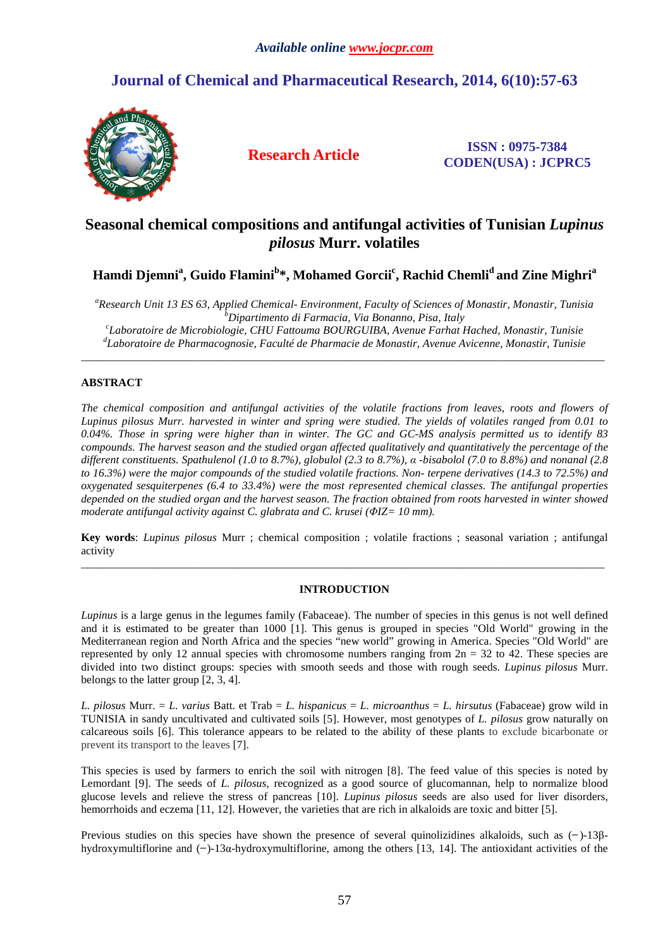# **Journal of Chemical and Pharmaceutical Research, 2014, 6(10):57-63**



**Research Article ISSN : 0975-7384 CODEN(USA) : JCPRC5**

# **Seasonal chemical compositions and antifungal activities of Tunisian** *Lupinus pilosus* **Murr. volatiles**

**Hamdi Djemni<sup>a</sup> , Guido Flamini<sup>b</sup> \*, Mohamed Gorcii<sup>c</sup> , Rachid Chemli<sup>d</sup>and Zine Mighri<sup>a</sup>**

*<sup>a</sup>Research Unit 13 ES 63, Applied Chemical- Environment, Faculty of Sciences of Monastir, Monastir, Tunisia <sup>b</sup>Dipartimento di Farmacia, Via Bonanno, Pisa, Italy c Laboratoire de Microbiologie, CHU Fattouma BOURGUIBA, Avenue Farhat Hached, Monastir, Tunisie d Laboratoire de Pharmacognosie, Faculté de Pharmacie de Monastir, Avenue Avicenne, Monastir, Tunisie* 

\_\_\_\_\_\_\_\_\_\_\_\_\_\_\_\_\_\_\_\_\_\_\_\_\_\_\_\_\_\_\_\_\_\_\_\_\_\_\_\_\_\_\_\_\_\_\_\_\_\_\_\_\_\_\_\_\_\_\_\_\_\_\_\_\_\_\_\_\_\_\_\_\_\_\_\_\_\_\_\_\_\_\_\_\_\_\_\_\_\_\_\_\_

# **ABSTRACT**

*The chemical composition and antifungal activities of the volatile fractions from leaves, roots and flowers of Lupinus pilosus Murr. harvested in winter and spring were studied. The yields of volatiles ranged from 0.01 to 0.04%. Those in spring were higher than in winter. The GC and GC-MS analysis permitted us to identify 83 compounds. The harvest season and the studied organ affected qualitatively and quantitatively the percentage of the different constituents. Spathulenol (1.0 to 8.7%), globulol (2.3 to 8.7%), α -bisabolol (7.0 to 8.8%) and nonanal (2.8 to 16.3%) were the major compounds of the studied volatile fractions. Non- terpene derivatives (14.3 to 72.5%) and oxygenated sesquiterpenes (6.4 to 33.4%) were the most represented chemical classes. The antifungal properties depended on the studied organ and the harvest season. The fraction obtained from roots harvested in winter showed moderate antifungal activity against C. glabrata and C. krusei (ΦIZ= 10 mm).* 

**Key words**: *Lupinus pilosus* Murr ; chemical composition ; volatile fractions ; seasonal variation ; antifungal activity \_\_\_\_\_\_\_\_\_\_\_\_\_\_\_\_\_\_\_\_\_\_\_\_\_\_\_\_\_\_\_\_\_\_\_\_\_\_\_\_\_\_\_\_\_\_\_\_\_\_\_\_\_\_\_\_\_\_\_\_\_\_\_\_\_\_\_\_\_\_\_\_\_\_\_\_\_\_\_\_\_\_\_\_\_\_\_\_\_\_\_\_\_

#### **INTRODUCTION**

*Lupinus* is a large genus in the legumes family (Fabaceae). The number of species in this genus is not well defined and it is estimated to be greater than 1000 [1]. This genus is grouped in species "Old World" growing in the Mediterranean region and North Africa and the species "new world" growing in America. Species "Old World" are represented by only 12 annual species with chromosome numbers ranging from  $2n = 32$  to 42. These species are divided into two distinct groups: species with smooth seeds and those with rough seeds. *Lupinus pilosus* Murr. belongs to the latter group [2, 3, 4].

*L. pilosus* Murr. = *L. varius* Batt. et Trab = *L. hispanicus* = *L. microanthus* = *L. hirsutus* (Fabaceae) grow wild in TUNISIA in sandy uncultivated and cultivated soils [5]. However, most genotypes of *L. pilosus* grow naturally on calcareous soils [6]. This tolerance appears to be related to the ability of these plants to exclude bicarbonate or prevent its transport to the leaves [7].

This species is used by farmers to enrich the soil with nitrogen [8]. The feed value of this species is noted by Lemordant [9]. The seeds of *L. pilosus*, recognized as a good source of glucomannan, help to normalize blood glucose levels and relieve the stress of pancreas [10]. *Lupinus pilosus* seeds are also used for liver disorders, hemorrhoids and eczema [11, 12]. However, the varieties that are rich in alkaloids are toxic and bitter [5].

Previous studies on this species have shown the presence of several quinolizidines alkaloids, such as  $(-)$ -13βhydroxymultiflorine and  $(-)$ -13 $\alpha$ -hydroxymultiflorine, among the others [13, 14]. The antioxidant activities of the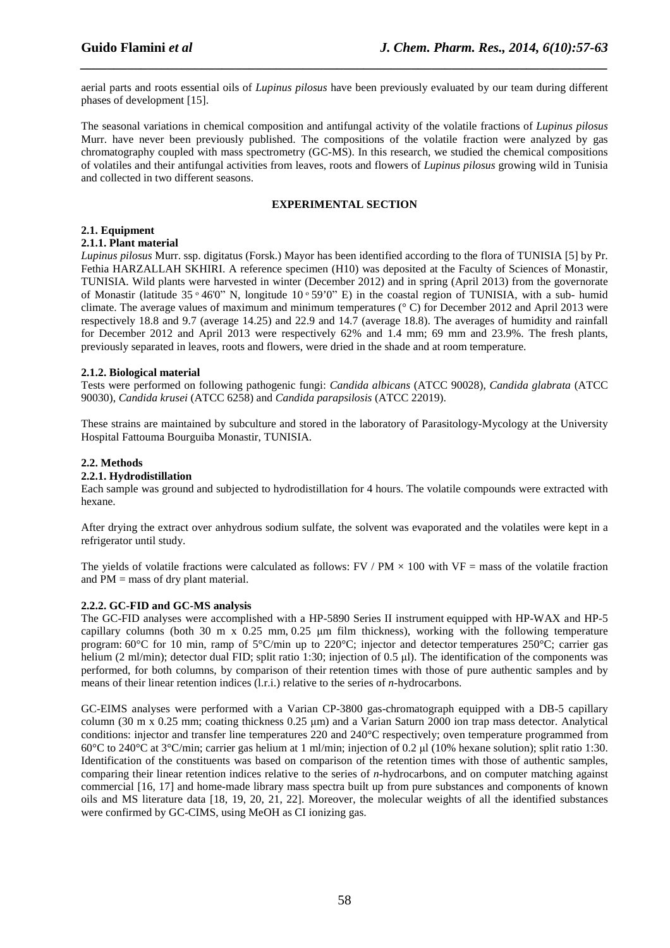aerial parts and roots essential oils of *Lupinus pilosus* have been previously evaluated by our team during different phases of development [15].

*\_\_\_\_\_\_\_\_\_\_\_\_\_\_\_\_\_\_\_\_\_\_\_\_\_\_\_\_\_\_\_\_\_\_\_\_\_\_\_\_\_\_\_\_\_\_\_\_\_\_\_\_\_\_\_\_\_\_\_\_\_\_\_\_\_\_\_\_\_\_\_\_\_\_\_\_\_\_*

The seasonal variations in chemical composition and antifungal activity of the volatile fractions of *Lupinus pilosus* Murr. have never been previously published. The compositions of the volatile fraction were analyzed by gas chromatography coupled with mass spectrometry (GC-MS). In this research, we studied the chemical compositions of volatiles and their antifungal activities from leaves, roots and flowers of *Lupinus pilosus* growing wild in Tunisia and collected in two different seasons.

#### **EXPERIMENTAL SECTION**

# **2.1. Equipment**

### **2.1.1. Plant material**

*Lupinus pilosus* Murr. ssp. digitatus (Forsk.) Mayor has been identified according to the flora of TUNISIA [5] by Pr. Fethia HARZALLAH SKHIRI. A reference specimen (H10) was deposited at the Faculty of Sciences of Monastir, TUNISIA. Wild plants were harvested in winter (December 2012) and in spring (April 2013) from the governorate of Monastir (latitude 35  $\degree$  46'0" N, longitude 10  $\degree$  59'0" E) in the coastal region of TUNISIA, with a sub- humid climate. The average values of maximum and minimum temperatures (° C) for December 2012 and April 2013 were respectively 18.8 and 9.7 (average 14.25) and 22.9 and 14.7 (average 18.8). The averages of humidity and rainfall for December 2012 and April 2013 were respectively 62% and 1.4 mm; 69 mm and 23.9%. The fresh plants, previously separated in leaves, roots and flowers, were dried in the shade and at room temperature.

# **2.1.2. Biological material**

Tests were performed on following pathogenic fungi: *Candida albicans* (ATCC 90028), *Candida glabrata* (ATCC 90030), *Candida krusei* (ATCC 6258) and *Candida parapsilosis* (ATCC 22019).

These strains are maintained by subculture and stored in the laboratory of Parasitology-Mycology at the University Hospital Fattouma Bourguiba Monastir, TUNISIA.

# **2.2. Methods**

### **2.2.1. Hydrodistillation**

Each sample was ground and subjected to hydrodistillation for 4 hours. The volatile compounds were extracted with hexane.

After drying the extract over anhydrous sodium sulfate, the solvent was evaporated and the volatiles were kept in a refrigerator until study.

The yields of volatile fractions were calculated as follows:  $FV / PM \times 100$  with VF = mass of the volatile fraction and PM = mass of dry plant material.

#### **2.2.2. GC-FID and GC-MS analysis**

The GC-FID analyses were accomplished with a HP-5890 Series II instrument equipped with HP-WAX and HP-5 capillary columns (both 30 m x  $0.25$  mm,  $0.25$   $\mu$ m film thickness), working with the following temperature program: 60°C for 10 min, ramp of 5°C/min up to 220°C; injector and detector temperatures 250°C; carrier gas helium (2 ml/min); detector dual FID; split ratio 1:30; injection of 0.5 µl). The identification of the components was performed, for both columns, by comparison of their retention times with those of pure authentic samples and by means of their linear retention indices (l.r.i.) relative to the series of *n*-hydrocarbons.

GC-EIMS analyses were performed with a Varian CP-3800 gas-chromatograph equipped with a DB-5 capillary column (30 m x 0.25 mm; coating thickness 0.25 µm) and a Varian Saturn 2000 ion trap mass detector. Analytical conditions: injector and transfer line temperatures 220 and 240°C respectively; oven temperature programmed from 60°C to 240°C at 3°C/min; carrier gas helium at 1 ml/min; injection of 0.2 µ (10% hexane solution); split ratio 1:30. Identification of the constituents was based on comparison of the retention times with those of authentic samples, comparing their linear retention indices relative to the series of *n*-hydrocarbons, and on computer matching against commercial [16, 17] and home-made library mass spectra built up from pure substances and components of known oils and MS literature data [18, 19, 20, 21, 22]. Moreover, the molecular weights of all the identified substances were confirmed by GC-CIMS, using MeOH as CI ionizing gas.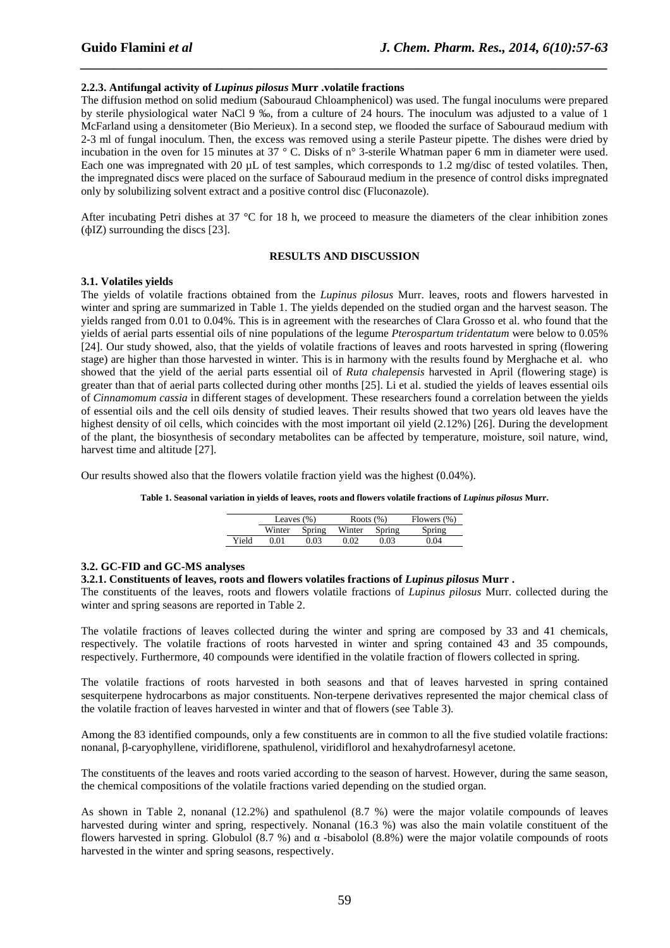### **2.2.3. Antifungal activity of** *Lupinus pilosus* **Murr .volatile fractions**

The diffusion method on solid medium (Sabouraud Chloamphenicol) was used. The fungal inoculums were prepared by sterile physiological water NaCl 9 ‰, from a culture of 24 hours. The inoculum was adjusted to a value of 1 McFarland using a densitometer (Bio Merieux). In a second step, we flooded the surface of Sabouraud medium with 2-3 ml of fungal inoculum. Then, the excess was removed using a sterile Pasteur pipette. The dishes were dried by incubation in the oven for 15 minutes at 37 ° C. Disks of n° 3-sterile Whatman paper 6 mm in diameter were used. Each one was impregnated with 20  $\mu$ L of test samples, which corresponds to 1.2 mg/disc of tested volatiles. Then, the impregnated discs were placed on the surface of Sabouraud medium in the presence of control disks impregnated only by solubilizing solvent extract and a positive control disc (Fluconazole).

*\_\_\_\_\_\_\_\_\_\_\_\_\_\_\_\_\_\_\_\_\_\_\_\_\_\_\_\_\_\_\_\_\_\_\_\_\_\_\_\_\_\_\_\_\_\_\_\_\_\_\_\_\_\_\_\_\_\_\_\_\_\_\_\_\_\_\_\_\_\_\_\_\_\_\_\_\_\_*

After incubating Petri dishes at 37 °C for 18 h, we proceed to measure the diameters of the clear inhibition zones (фIZ) surrounding the discs [23].

#### **RESULTS AND DISCUSSION**

#### **3.1. Volatiles yields**

The yields of volatile fractions obtained from the *Lupinus pilosus* Murr. leaves, roots and flowers harvested in winter and spring are summarized in Table 1. The yields depended on the studied organ and the harvest season. The yields ranged from 0.01 to 0.04%. This is in agreement with the researches of Clara Grosso et al. who found that the yields of aerial parts essential oils of nine populations of the legume *Pterospartum tridentatum* were below to 0.05% [24]. Our study showed, also, that the yields of volatile fractions of leaves and roots harvested in spring (flowering stage) are higher than those harvested in winter. This is in harmony with the results found by Merghache et al. who showed that the yield of the aerial parts essential oil of *Ruta chalepensis* harvested in April (flowering stage) is greater than that of aerial parts collected during other months [25]. Li et al. studied the yields of leaves essential oils of *Cinnamomum cassia* in different stages of development. These researchers found a correlation between the yields of essential oils and the cell oils density of studied leaves. Their results showed that two years old leaves have the highest density of oil cells, which coincides with the most important oil yield (2.12%) [26]. During the development of the plant, the biosynthesis of secondary metabolites can be affected by temperature, moisture, soil nature, wind, harvest time and altitude [27].

Our results showed also that the flowers volatile fraction yield was the highest (0.04%).

**Table 1. Seasonal variation in yields of leaves, roots and flowers volatile fractions of** *Lupinus pilosus* **Murr.** 

|       | Leaves $(\% )$ |        | Roots $(\%)$ |        | Flowers (%) |  |  |
|-------|----------------|--------|--------------|--------|-------------|--|--|
|       | Winter         | Spring | Winter       | Spring | Spring      |  |  |
| Yield | O O 1          | 0.03   | 0.02         | 0.03   | ን 04        |  |  |

#### **3.2. GC-FID and GC-MS analyses**

#### **3.2.1. Constituents of leaves, roots and flowers volatiles fractions of** *Lupinus pilosus* **Murr .**

The constituents of the leaves, roots and flowers volatile fractions of *Lupinus pilosus* Murr. collected during the winter and spring seasons are reported in Table 2.

The volatile fractions of leaves collected during the winter and spring are composed by 33 and 41 chemicals, respectively. The volatile fractions of roots harvested in winter and spring contained 43 and 35 compounds, respectively. Furthermore, 40 compounds were identified in the volatile fraction of flowers collected in spring.

The volatile fractions of roots harvested in both seasons and that of leaves harvested in spring contained sesquiterpene hydrocarbons as major constituents. Non-terpene derivatives represented the major chemical class of the volatile fraction of leaves harvested in winter and that of flowers (see Table 3).

Among the 83 identified compounds, only a few constituents are in common to all the five studied volatile fractions: nonanal, β-caryophyllene, viridiflorene, spathulenol, viridiflorol and hexahydrofarnesyl acetone.

The constituents of the leaves and roots varied according to the season of harvest. However, during the same season, the chemical compositions of the volatile fractions varied depending on the studied organ.

As shown in Table 2, nonanal (12.2%) and spathulenol (8.7 %) were the major volatile compounds of leaves harvested during winter and spring, respectively. Nonanal (16.3 %) was also the main volatile constituent of the flowers harvested in spring. Globulol (8.7 %) and α -bisabolol (8.8%) were the major volatile compounds of roots harvested in the winter and spring seasons, respectively.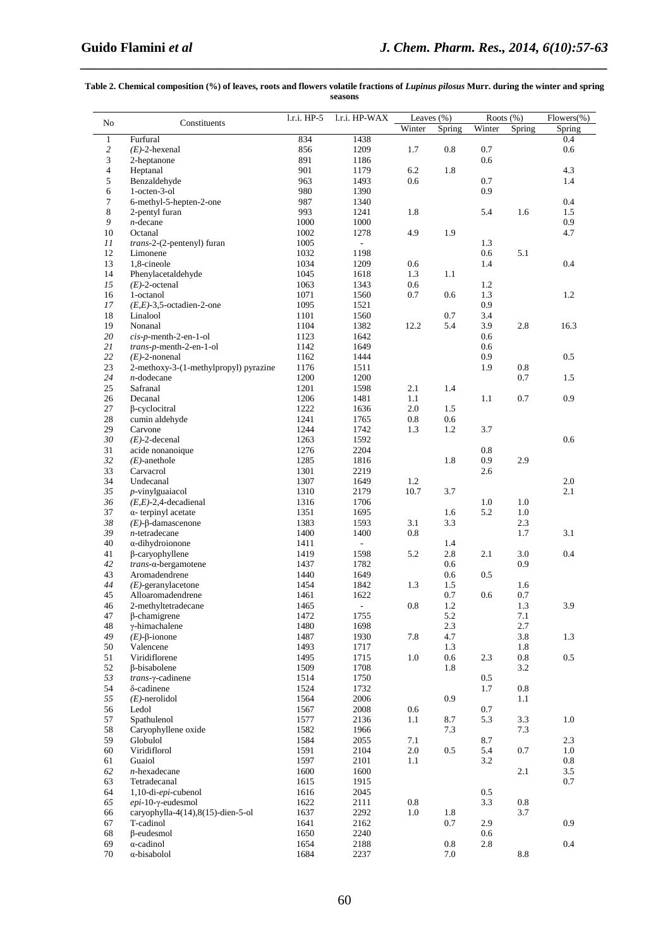#### **Table 2. Chemical composition (%) of leaves, roots and flowers volatile fractions of** *Lupinus pilosus* **Murr. during the winter and spring seasons**

*\_\_\_\_\_\_\_\_\_\_\_\_\_\_\_\_\_\_\_\_\_\_\_\_\_\_\_\_\_\_\_\_\_\_\_\_\_\_\_\_\_\_\_\_\_\_\_\_\_\_\_\_\_\_\_\_\_\_\_\_\_\_\_\_\_\_\_\_\_\_\_\_\_\_\_\_\_\_*

|                |                                           |              |                             | Leaves (%) |         | Roots (%)  |                 | $Flowers(\% )$ |  |
|----------------|-------------------------------------------|--------------|-----------------------------|------------|---------|------------|-----------------|----------------|--|
| No             | Constituents                              | 1.r.i. HP-5  | l.r.i. HP-WAX               | Winter     | Spring  | Winter     | Spring          | Spring         |  |
| $\mathbf{1}$   | Furfural                                  | 834          | 1438                        |            |         |            |                 | 0.4            |  |
| $\overline{c}$ | $(E)$ -2-hexenal                          | 856          | 1209                        | 1.7        | 0.8     | 0.7        |                 | 0.6            |  |
| 3              | 2-heptanone                               | 891          | 1186                        |            |         | 0.6        |                 |                |  |
| $\overline{4}$ | Heptanal                                  | 901          | 1179                        | 6.2        | 1.8     |            |                 | 4.3            |  |
| 5              | Benzaldehyde                              | 963          | 1493                        | 0.6        |         | 0.7        |                 | 1.4            |  |
| 6              | 1-octen-3-ol                              | 980          | 1390                        |            |         | 0.9        |                 |                |  |
| 7              | 6-methyl-5-hepten-2-one                   | 987          | 1340                        |            |         |            |                 | 0.4            |  |
| 8              | 2-pentyl furan                            | 993          | 1241                        | 1.8        |         | 5.4        | 1.6             | 1.5            |  |
| 9              | $n$ -decane                               | 1000         | 1000                        |            |         |            |                 | 0.9            |  |
| 10             | Octanal                                   | 1002         | 1278                        | 4.9        | 1.9     |            |                 | 4.7            |  |
| 11             | $trans-2-(2-pentenyl)$ furan              | 1005         | $\mathcal{L}_{\mathcal{A}}$ |            |         | 1.3        |                 |                |  |
| 12             | Limonene                                  | 1032         | 1198                        |            |         | 0.6        | 5.1             |                |  |
| 13             | 1,8-cineole                               | 1034         | 1209                        | 0.6        |         | 1.4        |                 | 0.4            |  |
| 14             | Phenylacetaldehyde                        | 1045         | 1618                        | 1.3        | 1.1     |            |                 |                |  |
| 15             | $(E)$ -2-octenal                          | 1063         | 1343                        | 0.6        |         | 1.2        |                 |                |  |
|                | 1-octanol                                 | 1071         | 1560                        | 0.7        | 0.6     | $1.3\,$    |                 | 1.2            |  |
| 16<br>17       | $(E,E)$ -3,5-octadien-2-one               | 1095         | 1521                        |            |         | 0.9        |                 |                |  |
| 18             | Linalool                                  | 1101         | 1560                        |            | 0.7     | 3.4        |                 |                |  |
|                |                                           |              |                             |            |         |            |                 |                |  |
| 19<br>20       | Nonanal<br>$cis$ -p-menth-2-en-1-ol       | 1104<br>1123 | 1382<br>1642                | 12.2       | 5.4     | 3.9<br>0.6 | 2.8             | 16.3           |  |
|                |                                           |              |                             |            |         |            |                 |                |  |
| 21             | trans-p-menth-2-en-1-ol                   | 1142         | 1649                        |            |         | 0.6        |                 |                |  |
| 22             | $(E)$ -2-nonenal                          | 1162         | 1444                        |            |         | 0.9        |                 | 0.5            |  |
| 23             | 2-methoxy-3-(1-methylpropyl) pyrazine     | 1176         | 1511                        |            |         | 1.9        | 0.8             |                |  |
| 24             | $n$ -dodecane                             | 1200         | 1200                        |            |         |            | 0.7             | 1.5            |  |
| 25             | Safranal                                  | 1201         | 1598                        | 2.1        | 1.4     |            |                 |                |  |
| 26             | Decanal                                   | 1206         | 1481                        | 1.1        |         | 1.1        | 0.7             | 0.9            |  |
| 27             | β-cyclocitral                             | 1222         | 1636                        | 2.0        | 1.5     |            |                 |                |  |
| 28             | cumin aldehyde                            | 1241         | 1765                        | 0.8        | 0.6     |            |                 |                |  |
| 29             | Carvone                                   | 1244         | 1742                        | 1.3        | 1.2     | 3.7        |                 |                |  |
| 30             | $(E)$ -2-decenal                          | 1263         | 1592                        |            |         |            |                 | 0.6            |  |
| 31             | acide nonanoique                          | 1276         | 2204                        |            |         | 0.8        |                 |                |  |
| 32             | $(E)$ -anethole                           | 1285         | 1816                        |            | 1.8     | 0.9        | 2.9             |                |  |
| 33             | Carvacrol                                 | 1301         | 2219                        |            |         | 2.6        |                 |                |  |
| 34             | Undecanal                                 | 1307         | 1649                        | 1.2        |         |            |                 | 2.0            |  |
| 35             | $p$ -vinylguaiacol                        | 1310         | 2179                        | 10.7       | 3.7     |            |                 | 2.1            |  |
| 36             | $(E,E)$ -2,4-decadienal                   | 1316         | 1706                        |            |         | 1.0        | 1.0             |                |  |
| 37             | $\alpha$ - terpinyl acetate               | 1351         | 1695                        |            | 1.6     | 5.2        | 1.0             |                |  |
| 38             | $(E)$ - $\beta$ -damascenone              | 1383         | 1593                        | 3.1        | 3.3     |            | 2.3             |                |  |
| 39             | $n$ -tetradecane                          | 1400         | 1400                        | 0.8        |         |            | 1.7             | 3.1            |  |
| 40             | α-dihydroionone                           | 1411         | $\mathcal{L}_{\mathcal{A}}$ |            | 1.4     |            |                 |                |  |
| 41             | $\beta$ -caryophyllene                    | 1419         | 1598                        | 5.2        | 2.8     | 2.1        | 3.0             | 0.4            |  |
| 42             | trans-a-bergamotene                       | 1437         | 1782                        |            | 0.6     |            | 0.9             |                |  |
| 43             | Aromadendrene                             | 1440         | 1649                        |            | 0.6     | 0.5        |                 |                |  |
| 44             | $(E)$ -geranylacetone                     | 1454         | 1842                        | 1.3        | 1.5     |            | 1.6             |                |  |
| 45             | Alloaromadendrene                         | 1461         | 1622                        |            | 0.7     | 0.6        | 0.7             |                |  |
| 46             | 2-methyltetradecane                       | 1465         | $\sim$                      | 0.8        | 1.2     |            | 1.3             | 3.9            |  |
| 47             | $\beta$ -chamigrene                       | 1472         | 1755                        |            | 5.2     |            | 7.1             |                |  |
| 48             | γ-himachalene                             | 1480         | 1698                        |            | 2.3     |            | 2.7             |                |  |
| 49             | $(E)$ - $\beta$ -ionone                   | 1487         | 1930                        | 7.8        | 4.7     |            | 3.8             | 1.3            |  |
| 50             | Valencene                                 | 1493         | 1717                        |            | 1.3     |            | 1.8             |                |  |
| 51             | Viridiflorene                             | 1495         | 1715                        | $1.0\,$    | 0.6     | 2.3        | $\rm 0.8$       | $0.5\,$        |  |
| 52             | $\beta$ -bisabolene                       | 1509         | 1708                        |            | 1.8     |            | 3.2             |                |  |
| 53             | trans-y-cadinene                          | 1514         | 1750                        |            |         | 0.5        |                 |                |  |
| 54             | δ-cadinene                                | 1524         | 1732                        |            |         | 1.7        | 0.8             |                |  |
| 55             | $(E)$ -nerolidol                          | 1564         | 2006                        |            | 0.9     |            | 1.1             |                |  |
| 56             | Ledol                                     | 1567         | 2008                        | 0.6        |         | 0.7        |                 |                |  |
| 57             | Spathulenol                               | 1577         | 2136                        | 1.1        | 8.7     | 5.3        | 3.3             | 1.0            |  |
| 58             | Caryophyllene oxide                       | 1582         | 1966                        |            | 7.3     |            | 7.3             |                |  |
| 59             | Globulol                                  | 1584         | 2055                        | 7.1        |         | 8.7        |                 | 2.3            |  |
| 60             | Viridiflorol                              | 1591         | 2104                        | $2.0\,$    | $0.5\,$ | 5.4        | 0.7             | 1.0            |  |
| 61             | Guaiol                                    | 1597         | 2101                        | 1.1        |         | 3.2        |                 | 0.8            |  |
| 62             | $n$ -hexadecane                           | 1600         | 1600                        |            |         |            | 2.1             | 3.5            |  |
| 63             | Tetradecanal                              | 1615         | 1915                        |            |         |            |                 | 0.7            |  |
| 64             | 1,10-di-epi-cubenol                       | 1616         | 2045                        |            |         | 0.5        |                 |                |  |
| 65             | $epi-10-\gamma$ -eudesmol                 | 1622         | 2111                        | 0.8        |         | 3.3        | 0.8             |                |  |
| 66             | caryophylla-4 $(14)$ ,8 $(15)$ -dien-5-ol | 1637         | 2292                        | 1.0        | 1.8     |            | 3.7             |                |  |
| 67             | T-cadinol                                 | 1641         | 2162                        |            | 0.7     | 2.9        |                 | 0.9            |  |
| 68             | $\beta$ -eudesmol                         | 1650         | 2240                        |            |         | 0.6        |                 |                |  |
| 69             | $\alpha$ -cadinol                         | 1654         | 2188                        |            | $0.8\,$ | 2.8        |                 | 0.4            |  |
| 70             | α-bisabolol                               | 1684         | 2237                        |            | 7.0     |            | $\!\!\!\!\!8.8$ |                |  |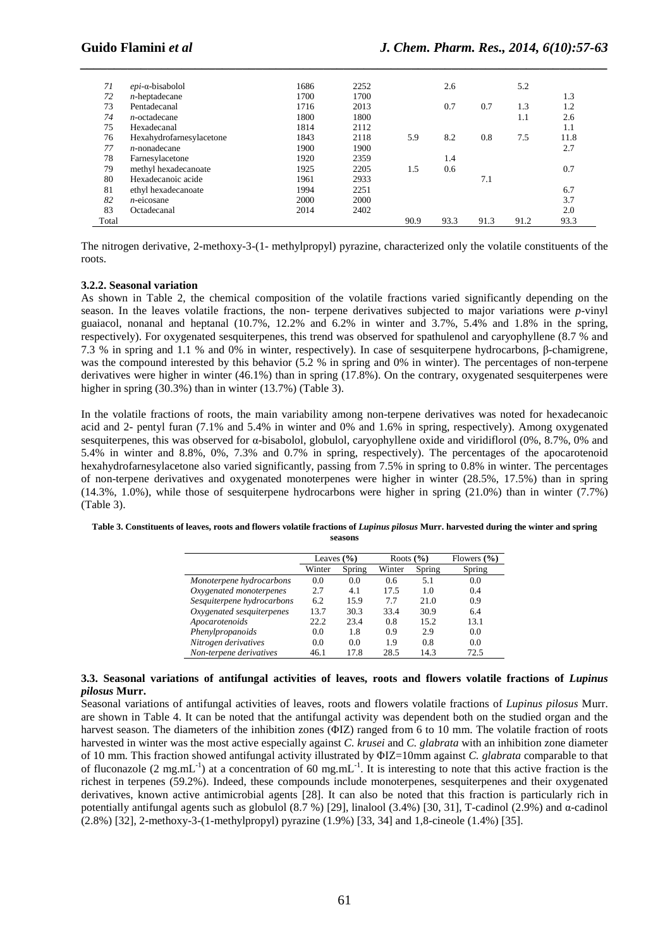| 71    | $epi$ - $\alpha$ -bisabolol | 1686 | 2252 |      | 2.6  |      | 5.2  |      |
|-------|-----------------------------|------|------|------|------|------|------|------|
| 72    | $n$ -heptadecane            | 1700 | 1700 |      |      |      |      | 1.3  |
| 73    | Pentadecanal                | 1716 | 2013 |      | 0.7  | 0.7  | 1.3  | 1.2  |
| 74    | $n$ -octadecane             | 1800 | 1800 |      |      |      | 1.1  | 2.6  |
| 75    | Hexadecanal                 | 1814 | 2112 |      |      |      |      | 1.1  |
| 76    | Hexahydrofarnesylacetone    | 1843 | 2118 | 5.9  | 8.2  | 0.8  | 7.5  | 11.8 |
| 77    | $n$ -nonadecane             | 1900 | 1900 |      |      |      |      | 2.7  |
| 78    | Farnesylacetone             | 1920 | 2359 |      | 1.4  |      |      |      |
| 79    | methyl hexadecanoate        | 1925 | 2205 | 1.5  | 0.6  |      |      | 0.7  |
| 80    | Hexadecanoic acide          | 1961 | 2933 |      |      | 7.1  |      |      |
| 81    | ethyl hexadecanoate         | 1994 | 2251 |      |      |      |      | 6.7  |
| 82    | $n$ -eicosane               | 2000 | 2000 |      |      |      |      | 3.7  |
| 83    | Octadecanal                 | 2014 | 2402 |      |      |      |      | 2.0  |
| Total |                             |      |      | 90.9 | 93.3 | 91.3 | 91.2 | 93.3 |

*\_\_\_\_\_\_\_\_\_\_\_\_\_\_\_\_\_\_\_\_\_\_\_\_\_\_\_\_\_\_\_\_\_\_\_\_\_\_\_\_\_\_\_\_\_\_\_\_\_\_\_\_\_\_\_\_\_\_\_\_\_\_\_\_\_\_\_\_\_\_\_\_\_\_\_\_\_\_*

The nitrogen derivative, 2-methoxy-3-(1- methylpropyl) pyrazine, characterized only the volatile constituents of the roots.

#### **3.2.2. Seasonal variation**

As shown in Table 2, the chemical composition of the volatile fractions varied significantly depending on the season. In the leaves volatile fractions, the non- terpene derivatives subjected to major variations were *p*-vinyl guaiacol, nonanal and heptanal (10.7%, 12.2% and 6.2% in winter and 3.7%, 5.4% and 1.8% in the spring, respectively). For oxygenated sesquiterpenes, this trend was observed for spathulenol and caryophyllene (8.7 % and 7.3 % in spring and 1.1 % and 0% in winter, respectively). In case of sesquiterpene hydrocarbons, β-chamigrene, was the compound interested by this behavior (5.2 % in spring and 0% in winter). The percentages of non-terpene derivatives were higher in winter (46.1%) than in spring (17.8%). On the contrary, oxygenated sesquiterpenes were higher in spring (30.3%) than in winter (13.7%) (Table 3).

In the volatile fractions of roots, the main variability among non-terpene derivatives was noted for hexadecanoic acid and 2- pentyl furan (7.1% and 5.4% in winter and 0% and 1.6% in spring, respectively). Among oxygenated sesquiterpenes, this was observed for α-bisabolol, globulol, caryophyllene oxide and viridiflorol (0%, 8.7%, 0% and 5.4% in winter and 8.8%, 0%, 7.3% and 0.7% in spring, respectively). The percentages of the apocarotenoid hexahydrofarnesylacetone also varied significantly, passing from 7.5% in spring to 0.8% in winter. The percentages of non-terpene derivatives and oxygenated monoterpenes were higher in winter (28.5%, 17.5%) than in spring (14.3%, 1.0%), while those of sesquiterpene hydrocarbons were higher in spring (21.0%) than in winter (7.7%) (Table 3).

| Table 3. Constituents of leaves, roots and flowers volatile fractions of Lupinus pilosus Murr. harvested during the winter and spring |  |
|---------------------------------------------------------------------------------------------------------------------------------------|--|
| seasons                                                                                                                               |  |

|                            | Leaves $(\% )$   |      | Roots $(\% )$ |        | Flowers $(\% )$ |
|----------------------------|------------------|------|---------------|--------|-----------------|
|                            | Winter<br>Spring |      | Winter        | Spring | Spring          |
| Monoterpene hydrocarbons   | 0.0              | 0.0  | 0.6           | 5.1    | 0.0             |
| Oxygenated monoterpenes    | 2.7              | 4.1  | 17.5          | 1.0    | 0.4             |
| Sesquiterpene hydrocarbons | 6.2              | 15.9 | 7.7           | 21.0   | 0.9             |
| Oxygenated sesquiterpenes  | 13.7             | 30.3 | 33.4          | 30.9   | 6.4             |
| Apocarotenoids             | 22.2             | 23.4 | 0.8           | 15.2   | 13.1            |
| Phenylpropanoids           | 0.0              | 1.8  | 0.9           | 2.9    | 0.0             |
| Nitrogen derivatives       | 0.0              | 0.0  | 1.9           | 0.8    | 0.0             |
| Non-terpene derivatives    | 46.1             | 17.8 | 28.5          | 14.3   | 72.5            |

#### **3.3. Seasonal variations of antifungal activities of leaves, roots and flowers volatile fractions of** *Lupinus pilosus* **Murr.**

Seasonal variations of antifungal activities of leaves, roots and flowers volatile fractions of *Lupinus pilosus* Murr. are shown in Table 4. It can be noted that the antifungal activity was dependent both on the studied organ and the harvest season. The diameters of the inhibition zones (ΦIZ) ranged from 6 to 10 mm. The volatile fraction of roots harvested in winter was the most active especially against *C. krusei* and *C. glabrata* with an inhibition zone diameter of 10 mm. This fraction showed antifungal activity illustrated by ΦIZ=10mm against *C. glabrata* comparable to that of fluconazole (2 mg.mL<sup>-1</sup>) at a concentration of 60 mg.mL<sup>-1</sup>. It is interesting to note that this active fraction is the richest in terpenes (59.2%). Indeed, these compounds include monoterpenes, sesquiterpenes and their oxygenated derivatives, known active antimicrobial agents [28]. It can also be noted that this fraction is particularly rich in potentially antifungal agents such as globulol  $(8.7 %)$  [29], linalool  $(3.4 %)$  [30, 31], T-cadinol  $(2.9 %)$  and α-cadinol (2.8%) [32], 2-methoxy-3-(1-methylpropyl) pyrazine (1.9%) [33, 34] and 1,8-cineole (1.4%) [35].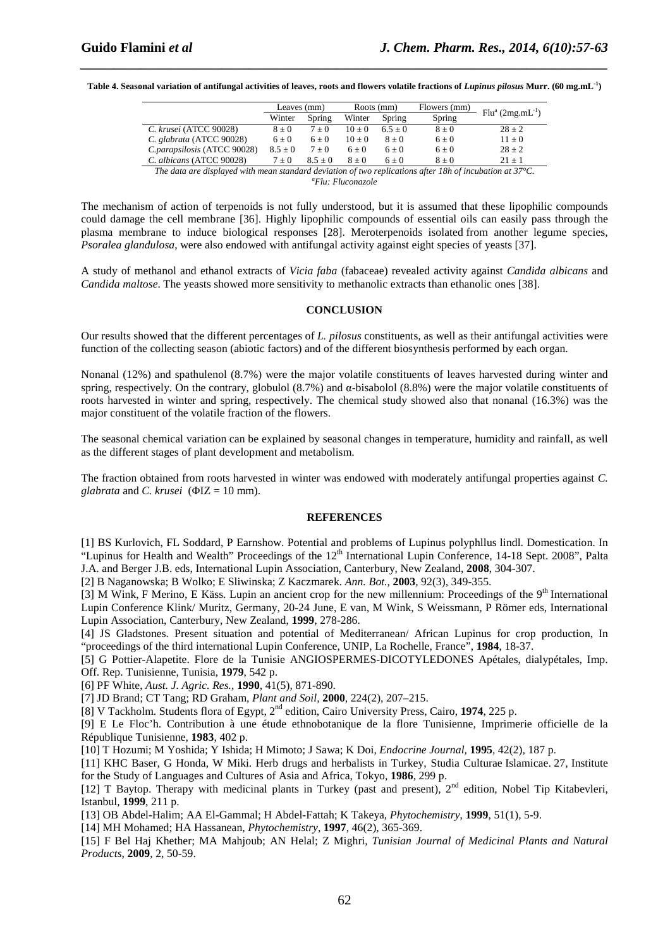**Table 4. Seasonal variation of antifungal activities of leaves, roots and flowers volatile fractions of** *Lupinus pilosus* **Murr. (60 mg.mL-1)** 

*\_\_\_\_\_\_\_\_\_\_\_\_\_\_\_\_\_\_\_\_\_\_\_\_\_\_\_\_\_\_\_\_\_\_\_\_\_\_\_\_\_\_\_\_\_\_\_\_\_\_\_\_\_\_\_\_\_\_\_\_\_\_\_\_\_\_\_\_\_\_\_\_\_\_\_\_\_\_*

|                                                                                                         | Leaves (mm) |           | Roots (mm) |           | Flowers (mm) | $Flua$ (2mg.mL <sup>-1</sup> ) |  |  |
|---------------------------------------------------------------------------------------------------------|-------------|-----------|------------|-----------|--------------|--------------------------------|--|--|
|                                                                                                         | Winter      | Spring    | Winter     | Spring    | Spring       |                                |  |  |
| C. krusei (ATCC 90028)                                                                                  | $8 \pm 0$   | $7 + 0$   | $10 + 0$   | $6.5 + 0$ | $8 + 0$      | $28 + 2$                       |  |  |
| C. glabrata (ATCC 90028)                                                                                | $6 + 0$     | $6 + 0$   | $10 + 0$   | $8 + 0$   | $6\pm0$      | $11 \pm 0$                     |  |  |
| C.parapsilosis (ATCC 90028)                                                                             | $8.5 \pm 0$ | $7 + 0$   | $6 + 0$    | $6 + 0$   | $6 + 0$      | $28 + 2$                       |  |  |
| C. albicans (ATCC 90028)                                                                                | $7 \pm 0$   | $8.5 + 0$ | $8 + 0$    | $6 + 0$   | $8 + 0$      | $21 + 1$                       |  |  |
| The data and displayed with mean standard deviation of two nonlinetions after 101, of monketion at 2790 |             |           |            |           |              |                                |  |  |

*The data are displayed with mean standard deviation of two replications after 18h of incubation at 37°C. <sup>a</sup>Flu: Fluconazole*

The mechanism of action of terpenoids is not fully understood, but it is assumed that these lipophilic compounds could damage the cell membrane [36]. Highly lipophilic compounds of essential oils can easily pass through the plasma membrane to induce biological responses [28]. Meroterpenoids isolated from another legume species, *Psoralea glandulosa*, were also endowed with antifungal activity against eight species of yeasts [37].

A study of methanol and ethanol extracts of *Vicia faba* (fabaceae) revealed activity against *Candida albicans* and *Candida maltose*. The yeasts showed more sensitivity to methanolic extracts than ethanolic ones [38].

#### **CONCLUSION**

Our results showed that the different percentages of *L. pilosus* constituents, as well as their antifungal activities were function of the collecting season (abiotic factors) and of the different biosynthesis performed by each organ.

Nonanal (12%) and spathulenol (8.7%) were the major volatile constituents of leaves harvested during winter and spring, respectively. On the contrary, globulol  $(8.7%)$  and  $\alpha$ -bisabolol  $(8.8%)$  were the major volatile constituents of roots harvested in winter and spring, respectively. The chemical study showed also that nonanal (16.3%) was the major constituent of the volatile fraction of the flowers.

The seasonal chemical variation can be explained by seasonal changes in temperature, humidity and rainfall, as well as the different stages of plant development and metabolism.

The fraction obtained from roots harvested in winter was endowed with moderately antifungal properties against *C. glabrata* and *C. krusei* (ΦIZ = 10 mm).

#### **REFERENCES**

[1] BS Kurlovich, FL Soddard, P Earnshow. Potential and problems of Lupinus polyphllus lindl. Domestication. In "Lupinus for Health and Wealth" Proceedings of the 12<sup>th</sup> International Lupin Conference, 14-18 Sept. 2008", Palta J.A. and Berger J.B. eds, International Lupin Association, Canterbury, New Zealand, **2008**, 304-307.

[2] B Naganowska; B Wolko; E Sliwinska; Z Kaczmarek. *Ann. Bot.,* **2003**, 92(3), 349-355.

[3] M Wink, F Merino, E Käss. Lupin an ancient crop for the new millennium: Proceedings of the  $9<sup>th</sup>$  International Lupin Conference Klink/ Muritz, Germany, 20-24 June, E van, M Wink, S Weissmann, P Römer eds, International Lupin Association, Canterbury, New Zealand, **1999**, 278-286.

[4] JS Gladstones. Present situation and potential of Mediterranean/ African Lupinus for crop production, In "proceedings of the third international Lupin Conference, UNIP, La Rochelle, France", **1984**, 18-37.

[5] G Pottier-Alapetite. Flore de la Tunisie ANGIOSPERMES-DICOTYLEDONES Apétales, dialypétales, Imp. Off. Rep. Tunisienne, Tunisia, **1979**, 542 p.

- [6] PF White, *Aust. J. Agric. Res.,* **1990**, 41(5), 871-890.
- [7] JD Brand; CT Tang; RD Graham, *Plant and Soil,* **2000**, 224(2), 207–215.

[8] V Tackholm. Students flora of Egypt, 2nd edition, Cairo University Press, Cairo, **1974**, 225 p.

[9] E Le Floc'h. Contribution à une étude ethnobotanique de la flore Tunisienne, Imprimerie officielle de la République Tunisienne, **1983**, 402 p.

[10] T Hozumi; M Yoshida; Y Ishida; H Mimoto; J Sawa; K Doi, *Endocrine Journal,* **1995**, 42(2), 187 p.

[11] KHC Baser, G Honda, W Miki. Herb drugs and herbalists in Turkey, Studia Culturae Islamicae. 27, Institute for the Study of Languages and Cultures of Asia and Africa, Tokyo, **1986**, 299 p.

[12] T Baytop. Therapy with medicinal plants in Turkey (past and present), 2<sup>nd</sup> edition, Nobel Tip Kitabevleri, Istanbul, **1999**, 211 p.

[13] OB Abdel-Halim; AA El-Gammal; H Abdel-Fattah; K Takeya, *Phytochemistry*, **1999**, 51(1), 5-9.

[14] MH Mohamed; HA Hassanean, *Phytochemistry*, **1997**, 46(2), 365-369.

[15] F Bel Haj Khether; MA Mahjoub; AN Helal; Z Mighri, *Tunisian Journal of Medicinal Plants and Natural Products*, **2009**, 2, 50-59.